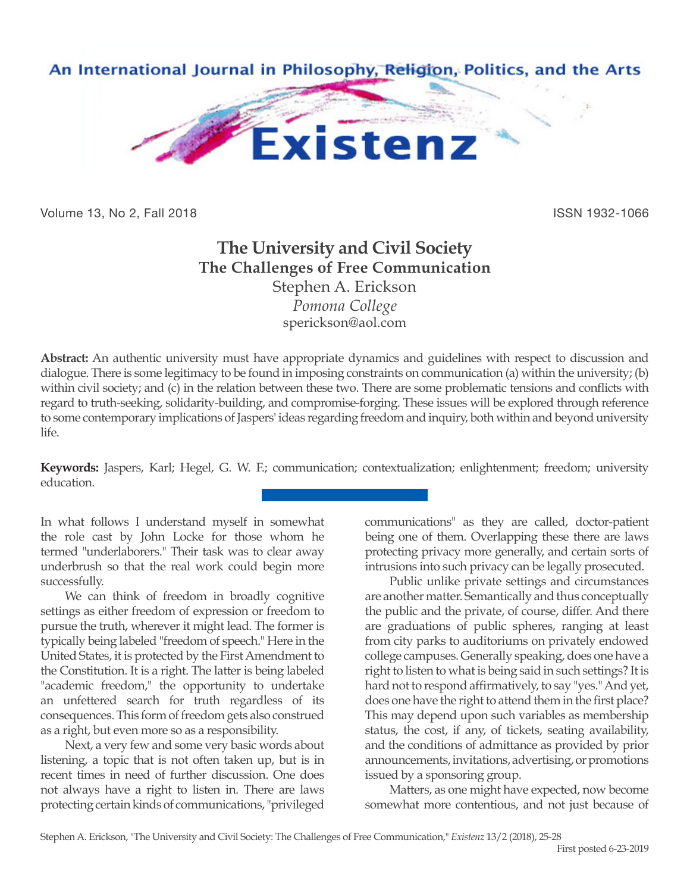

Volume 13, No 2, Fall 2018 ISSN 1932-1066

## **The University and Civil Society The Challenges of Free Communication** Stephen A. Erickson

*Pomona College* sperickson@aol.com

**Abstract:** An authentic university must have appropriate dynamics and guidelines with respect to discussion and dialogue. There is some legitimacy to be found in imposing constraints on communication (a) within the university; (b) within civil society; and (c) in the relation between these two. There are some problematic tensions and conflicts with regard to truth-seeking, solidarity-building, and compromise-forging. These issues will be explored through reference to some contemporary implications of Jaspers' ideas regarding freedom and inquiry, both within and beyond university life.

**Keywords:** Jaspers, Karl; Hegel, G. W. F.; communication; contextualization; enlightenment; freedom; university education.

In what follows I understand myself in somewhat the role cast by John Locke for those whom he termed "underlaborers." Their task was to clear away underbrush so that the real work could begin more successfully.

We can think of freedom in broadly cognitive settings as either freedom of expression or freedom to pursue the truth, wherever it might lead. The former is typically being labeled "freedom of speech." Here in the United States, it is protected by the First Amendment to the Constitution. It is a right. The latter is being labeled "academic freedom," the opportunity to undertake an unfettered search for truth regardless of its consequences. This form of freedom gets also construed as a right, but even more so as a responsibility.

Next, a very few and some very basic words about listening, a topic that is not often taken up, but is in recent times in need of further discussion. One does not always have a right to listen in. There are laws protecting certain kinds of communications, "privileged communications" as they are called, doctor-patient being one of them. Overlapping these there are laws protecting privacy more generally, and certain sorts of intrusions into such privacy can be legally prosecuted.

Public unlike private settings and circumstances are another matter. Semantically and thus conceptually the public and the private, of course, differ. And there are graduations of public spheres, ranging at least from city parks to auditoriums on privately endowed college campuses. Generally speaking, does one have a right to listen to what is being said in such settings? It is hard not to respond affirmatively, to say "yes." And yet, does one have the right to attend them in the first place? This may depend upon such variables as membership status, the cost, if any, of tickets, seating availability, and the conditions of admittance as provided by prior announcements, invitations, advertising, or promotions issued by a sponsoring group.

Matters, as one might have expected, now become somewhat more contentious, and not just because of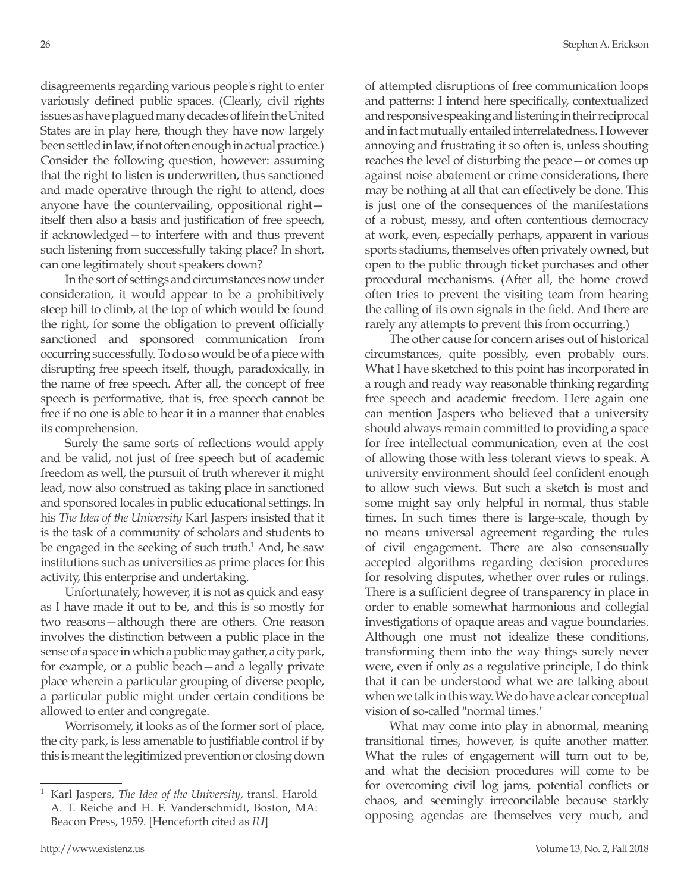disagreements regarding various people's right to enter variously defined public spaces. (Clearly, civil rights issues as have plagued many decades of life in the United States are in play here, though they have now largely been settled in law, if not often enough in actual practice.) Consider the following question, however: assuming that the right to listen is underwritten, thus sanctioned and made operative through the right to attend, does anyone have the countervailing, oppositional right itself then also a basis and justification of free speech, if acknowledged—to interfere with and thus prevent such listening from successfully taking place? In short, can one legitimately shout speakers down?

In the sort of settings and circumstances now under consideration, it would appear to be a prohibitively steep hill to climb, at the top of which would be found the right, for some the obligation to prevent officially sanctioned and sponsored communication from occurring successfully. To do so would be of a piece with disrupting free speech itself, though, paradoxically, in the name of free speech. After all, the concept of free speech is performative, that is, free speech cannot be free if no one is able to hear it in a manner that enables its comprehension.

Surely the same sorts of reflections would apply and be valid, not just of free speech but of academic freedom as well, the pursuit of truth wherever it might lead, now also construed as taking place in sanctioned and sponsored locales in public educational settings. In his *The Idea of the University* Karl Jaspers insisted that it is the task of a community of scholars and students to be engaged in the seeking of such truth.<sup>1</sup> And, he saw institutions such as universities as prime places for this activity, this enterprise and undertaking.

Unfortunately, however, it is not as quick and easy as I have made it out to be, and this is so mostly for two reasons—although there are others. One reason involves the distinction between a public place in the sense of a space in which a public may gather, a city park, for example, or a public beach—and a legally private place wherein a particular grouping of diverse people, a particular public might under certain conditions be allowed to enter and congregate.

Worrisomely, it looks as of the former sort of place, the city park, is less amenable to justifiable control if by this is meant the legitimized prevention or closing down of attempted disruptions of free communication loops and patterns: I intend here specifically, contextualized and responsive speaking and listening in their reciprocal and in fact mutually entailed interrelatedness. However annoying and frustrating it so often is, unless shouting reaches the level of disturbing the peace—or comes up against noise abatement or crime considerations, there may be nothing at all that can effectively be done. This is just one of the consequences of the manifestations of a robust, messy, and often contentious democracy at work, even, especially perhaps, apparent in various sports stadiums, themselves often privately owned, but open to the public through ticket purchases and other procedural mechanisms. (After all, the home crowd often tries to prevent the visiting team from hearing the calling of its own signals in the field. And there are rarely any attempts to prevent this from occurring.)

The other cause for concern arises out of historical circumstances, quite possibly, even probably ours. What I have sketched to this point has incorporated in a rough and ready way reasonable thinking regarding free speech and academic freedom. Here again one can mention Jaspers who believed that a university should always remain committed to providing a space for free intellectual communication, even at the cost of allowing those with less tolerant views to speak. A university environment should feel confident enough to allow such views. But such a sketch is most and some might say only helpful in normal, thus stable times. In such times there is large-scale, though by no means universal agreement regarding the rules of civil engagement. There are also consensually accepted algorithms regarding decision procedures for resolving disputes, whether over rules or rulings. There is a sufficient degree of transparency in place in order to enable somewhat harmonious and collegial investigations of opaque areas and vague boundaries. Although one must not idealize these conditions, transforming them into the way things surely never were, even if only as a regulative principle, I do think that it can be understood what we are talking about when we talk in this way. We do have a clear conceptual vision of so-called "normal times."

What may come into play in abnormal, meaning transitional times, however, is quite another matter. What the rules of engagement will turn out to be, and what the decision procedures will come to be for overcoming civil log jams, potential conflicts or chaos, and seemingly irreconcilable because starkly opposing agendas are themselves very much, and

<sup>1</sup> Karl Jaspers, *The Idea of the University*, transl. Harold A. T. Reiche and H. F. Vanderschmidt, Boston, MA: Beacon Press, 1959. [Henceforth cited as *IU*]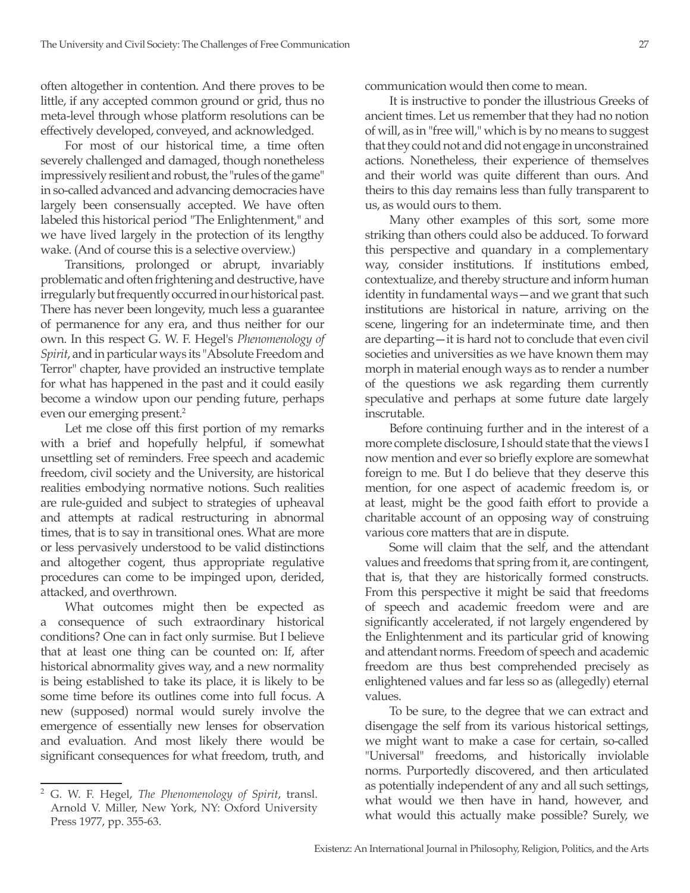often altogether in contention. And there proves to be little, if any accepted common ground or grid, thus no meta-level through whose platform resolutions can be effectively developed, conveyed, and acknowledged.

For most of our historical time, a time often severely challenged and damaged, though nonetheless impressively resilient and robust, the "rules of the game" in so-called advanced and advancing democracies have largely been consensually accepted. We have often labeled this historical period "The Enlightenment," and we have lived largely in the protection of its lengthy wake. (And of course this is a selective overview.)

Transitions, prolonged or abrupt, invariably problematic and often frightening and destructive, have irregularly but frequently occurred in our historical past. There has never been longevity, much less a guarantee of permanence for any era, and thus neither for our own. In this respect G. W. F. Hegel's *Phenomenology of Spirit*, and in particular ways its "Absolute Freedom and Terror" chapter, have provided an instructive template for what has happened in the past and it could easily become a window upon our pending future, perhaps even our emerging present.<sup>2</sup>

Let me close off this first portion of my remarks with a brief and hopefully helpful, if somewhat unsettling set of reminders. Free speech and academic freedom, civil society and the University, are historical realities embodying normative notions. Such realities are rule-guided and subject to strategies of upheaval and attempts at radical restructuring in abnormal times, that is to say in transitional ones. What are more or less pervasively understood to be valid distinctions and altogether cogent, thus appropriate regulative procedures can come to be impinged upon, derided, attacked, and overthrown.

What outcomes might then be expected as a consequence of such extraordinary historical conditions? One can in fact only surmise. But I believe that at least one thing can be counted on: If, after historical abnormality gives way, and a new normality is being established to take its place, it is likely to be some time before its outlines come into full focus. A new (supposed) normal would surely involve the emergence of essentially new lenses for observation and evaluation. And most likely there would be significant consequences for what freedom, truth, and communication would then come to mean.

It is instructive to ponder the illustrious Greeks of ancient times. Let us remember that they had no notion of will, as in "free will," which is by no means to suggest that they could not and did not engage in unconstrained actions. Nonetheless, their experience of themselves and their world was quite different than ours. And theirs to this day remains less than fully transparent to us, as would ours to them.

Many other examples of this sort, some more striking than others could also be adduced. To forward this perspective and quandary in a complementary way, consider institutions. If institutions embed, contextualize, and thereby structure and inform human identity in fundamental ways—and we grant that such institutions are historical in nature, arriving on the scene, lingering for an indeterminate time, and then are departing—it is hard not to conclude that even civil societies and universities as we have known them may morph in material enough ways as to render a number of the questions we ask regarding them currently speculative and perhaps at some future date largely inscrutable.

Before continuing further and in the interest of a more complete disclosure, I should state that the views I now mention and ever so briefly explore are somewhat foreign to me. But I do believe that they deserve this mention, for one aspect of academic freedom is, or at least, might be the good faith effort to provide a charitable account of an opposing way of construing various core matters that are in dispute.

Some will claim that the self, and the attendant values and freedoms that spring from it, are contingent, that is, that they are historically formed constructs. From this perspective it might be said that freedoms of speech and academic freedom were and are significantly accelerated, if not largely engendered by the Enlightenment and its particular grid of knowing and attendant norms. Freedom of speech and academic freedom are thus best comprehended precisely as enlightened values and far less so as (allegedly) eternal values.

To be sure, to the degree that we can extract and disengage the self from its various historical settings, we might want to make a case for certain, so-called "Universal" freedoms, and historically inviolable norms. Purportedly discovered, and then articulated as potentially independent of any and all such settings, what would we then have in hand, however, and what would this actually make possible? Surely, we

<sup>2</sup> G. W. F. Hegel, *The Phenomenology of Spirit*, transl. Arnold V. Miller, New York, NY: Oxford University Press 1977, pp. 355-63.